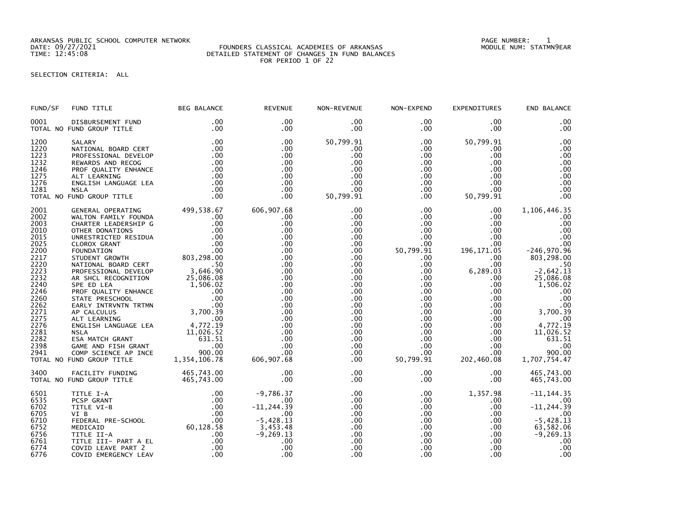ARKANSAS PUBLIC SCHOOL COMPUTER NETWORK PAGE NUMBER: 1

## DATE: 09/27/2021 FOUNDERS CLASSICAL ACADEMIES OF ARKANSAS MODULE NUM: STATMN9EAR TIME: 12:45:08 DETAILED STATEMENT OF CHANGES IN FUND BALANCES FOR PERIOD 1 OF 22

## SELECTION CRITERIA: ALL

| FUND/SF      | FUND TITLE                                     | <b>BEG BALANCE</b>     | <b>REVENUE</b>          | NON-REVENUE     | NON-EXPEND           | <b>EXPENDITURES</b> | END BALANCE              |
|--------------|------------------------------------------------|------------------------|-------------------------|-----------------|----------------------|---------------------|--------------------------|
| 0001         | DISBURSEMENT FUND<br>TOTAL NO FUND GROUP TITLE | .00<br>.00             | .00<br>$.00 \,$         | $.00 \,$<br>.00 | $.00 \,$<br>$.00 \,$ | $.00 \,$<br>.00     | .00<br>.00               |
| 1200         | SALARY                                         | .00                    | .00                     | 50,799.91       | $.00 \,$             | 50,799.91           | .00                      |
| 1220         | NATIONAL BOARD CERT                            | .00                    | $.00 \,$                | .00             | .00                  | .00                 | .00                      |
| 1223         | PROFESSIONAL DEVELOP                           | .00                    | .00                     | .00             | $.00 \,$             | .00                 | .00                      |
| 1232         | REWARDS AND RECOG                              | .00                    | .00                     | .00             | .00                  | .00                 | .00                      |
| 1246         | PROF QUALITY ENHANCE                           | .00                    | $.00 \,$                | .00.            | $.00 \,$             | .00                 | .00                      |
| 1275         | ALT LEARNING                                   | .00                    | .00                     | .00             | $.00 \,$             | $.00 \,$            | .00                      |
|              |                                                | .00                    | .00                     | .00             | $.00 \,$             | .00.                | .00                      |
| 1276         | ENGLISH LANGUAGE LEA                           |                        |                         |                 |                      |                     | .00                      |
| 1281         | <b>NSLA</b>                                    | .00                    | .00                     | .00             | $.00 \,$             | $.00 \,$            |                          |
|              | TOTAL NO FUND GROUP TITLE                      | .00                    | $.00 \,$                | 50,799.91       | .00                  | 50,799.91           | .00                      |
| 2001         | GENERAL OPERATING                              | 499,538.67             | 606,907.68              | .00             | $.00 \,$             | $.00 \,$            | 1,106,446.35             |
| 2002         | WALTON FAMILY FOUNDA                           | .00                    | .00                     | .00             | $.00 \,$             | .00                 | .00                      |
| 2003         | CHARTER LEADERSHIP G                           | .00                    | .00                     | .00             | $.00 \,$             | $.00 \,$            | .00                      |
| 2010         | OTHER DONATIONS                                | .00                    | .00                     | .00             | $.00 \,$             | .00                 | .00                      |
| 2015         | UNRESTRICTED RESIDUA                           | .00                    | .00                     | .00             | $.00 \,$             | .00                 | .00                      |
| 2025         | CLOROX GRANT                                   | .00                    | .00                     | .00             | $.00 \,$             | .00.                | .00                      |
| 2200         | FOUNDATION                                     | 00 .<br>803 , 298 . 00 | .00                     | .00             | 50,799.91            | 196, 171.05         | $-246,970.96$            |
| 2217         | STUDENT GROWTH                                 |                        | .00                     | .00             | $.00 \,$             | .00                 | 803,298.00               |
|              |                                                |                        | .00                     | .00             | .00                  | .00                 |                          |
| 2220<br>2223 | NATIONAL BOARD CERT                            | .50<br>3,646.90        |                         |                 |                      |                     | $-2,642.13$              |
|              | PROFESSIONAL DEVELOP                           |                        | .00                     | .00             | $.00 \,$             | 6,289.03            |                          |
| 2232         | AR SHCL RECOGNITION                            | 25,086.08<br>1,506.02  | .00                     | $.00 \,$        | $.00 \,$             | $.00 \,$            | 25,086.08                |
| 2240         | SPE ED LEA                                     |                        | .00                     | .00             | $.00 \,$             | $.00 \,$            | 1,506.02                 |
| 2246         | PROF QUALITY ENHANCE                           | .00                    | .00                     | .00             | .00                  | $.00 \,$            | .00                      |
| 2260         | STATE PRESCHOOL                                | .00                    | .00                     | .00             | $.00 \,$             | $.00 \,$            | .00                      |
| 2262         | EARLY INTRVNTN TRTMN                           | .00                    | .00                     | .00             | .00                  | $.00 \,$            | .00                      |
| 2271         | AP CALCULUS                                    | 3,700.39               | .00                     | .00             | .00                  | $.00 \,$            | 3,700.39                 |
| 2275         | ALT LEARNING                                   | .00                    | .00                     | .00             | $.00 \,$             | .00                 | .00                      |
| 2276         | ENGLISH LANGUAGE LEA                           | 4,772.19               | .00                     | .00             | $.00 \,$             | $.00 \,$            | 4,772.19                 |
| 2281         | <b>NSLA</b>                                    | 11,026.52              | .00                     | .00             | $.00 \,$             | $.00 \,$            | 11,026.52                |
| 2282         | ESA MATCH GRANT                                | 631.51                 | .00                     | .00             | $.00 \,$             | $.00 \,$            | 631.51                   |
| 2398         | GAME AND FISH GRANT                            | .00                    | .00                     | .00             | $.00 \,$             | $.00 \,$            | .00                      |
| 2941         | COMP SCIENCE AP INCE                           | 900.00                 | .00                     | .00             | $.00 \,$             | $.00 \,$            | 900.00                   |
|              | TOTAL NO FUND GROUP TITLE                      | 1,354,106.78           | 606,907.68              | .00             | 50,799.91            | 202,460.08          | 1,707,754.47             |
|              |                                                |                        |                         |                 |                      |                     |                          |
| 3400         | FACILITY FUNDING                               | 465,743.00             | .00                     | .00             | $.00 \,$             | $.00 \,$            | 465,743.00               |
|              | TOTAL NO FUND GROUP TITLE                      | 465,743.00             | .00                     | .00             | $.00 \,$             | .00                 | 465,743.00               |
| 6501         | TITLE I-A                                      | .00                    | $-9,786.37$             | .00             | $.00 \,$             | 1,357.98            | $-11, 144.35$            |
| 6535         | PCSP GRANT                                     | .00                    | .00                     | .00             | $.00 \,$             | $.00 \,$            | .00                      |
| 6702         | TITLE VI-B                                     | .00                    | $-11, 244.39$           | .00             | .00                  | $.00 \,$            | $-11, 244.39$            |
| 6705         | VI B                                           | .00                    | $.00 \,$                | .00             | $.00 \,$             | $.00 \,$            | .00                      |
| 6710         | FEDERAL PRE-SCHOOL                             |                        | $-5,428.13$             | .00             | $.00 \cdot$          | $.00 \,$            | $-5,428.13$              |
|              |                                                | .00<br>60,128.58       |                         |                 |                      |                     |                          |
| 6752         | MEDICAID                                       |                        | $3,453.48$<br>-9,269.13 | .00             | $.00 \,$             | $.00 \,$            | $63,582.06$<br>-9,269.13 |
| 6756         | TITLE II-A                                     | .00                    |                         | .00             | $.00 \,$             | $.00 \,$            |                          |
| 6761         | TITLE III- PART A EL                           | .00                    | .00                     | .00             | $.00 \,$             | .00                 | .00                      |
| 6774         | COVID LEAVE PART 2                             | .00                    | .00                     | .00             | $.00 \,$             | .00                 | .00                      |
| 6776         | COVID EMERGENCY LEAV                           | .00                    | .00                     | .00             | .00                  | .00                 | .00                      |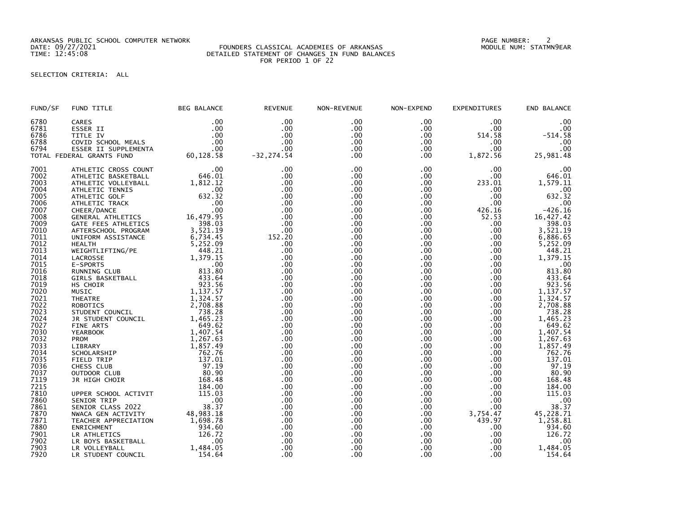ARKANSAS PUBLIC SCHOOL COMPUTER NETWORK PAGE NUMBER: 2

## DATE: 09/27/2021 FOUNDERS CLASSICAL ACADEMIES OF ARKANSAS MODULE NUM: STATMN9EAR TIME: 12:45:08 DETAILED STATEMENT OF CHANGES IN FUND BALANCES FOR PERIOD 1 OF 22

SELECTION CRITERIA: ALL

| FUND/SF | FUND TITLE                | <b>BEG BALANCE</b>           | <b>REVENUE</b> | NON-REVENUE | NON-EXPEND       | <b>EXPENDITURES</b> | END BALANCE                                |
|---------|---------------------------|------------------------------|----------------|-------------|------------------|---------------------|--------------------------------------------|
| 6780    | CARES                     | .00                          | .00            | .00         | .00              | .00                 | .00                                        |
| 6781    | ESSER II                  | .00                          | .00            | $.00 \,$    | .00              | .00                 | .00                                        |
| 6786    | TITLE IV                  | .00                          | .00            | .00         | .00              | 514.58              | $-514.58$                                  |
| 6788    | COVID SCHOOL MEALS        | .00                          | .00            | .00         | $.00 \,$         | .00                 | .00                                        |
| 6794    | ESSER II SUPPLEMENTA      | .00                          | .00            | .00         | .00              | .00                 | .00                                        |
|         | TOTAL FEDERAL GRANTS FUND | 60,128.58                    | $-32, 274.54$  | .00         | .00              | 1,872.56            | 25,981.48                                  |
| 7001    | ATHLETIC CROSS COUNT      | .00                          | .00            | .00         | .00              | .00                 | .00                                        |
| 7002    | ATHLETIC BASKETBALL       | 646.01                       | .00            | .00         | .00              | .00                 | 646.01                                     |
| 7003    | ATHLETIC VOLLEYBALL       | 1,812.12                     | .00            | .00         | .00 <sub>1</sub> | 233.01              | 1,579.11                                   |
| 7004    | ATHLETIC TENNIS           | .00                          | .00            | .00         | .00              | .00                 | .00                                        |
| 7005    | ATHLETIC GOLF             | 632.32                       | .00            | .00         | .00              | .00                 | 632.32                                     |
| 7006    | ATHLETIC TRACK            | .00                          | .00            | .00         | .00              | .00                 | $.00$<br>-426.16                           |
| 7007    | CHEER/DANCE               | .00                          | .00            | .00         | .00              | 426.16              |                                            |
| 7008    | GENERAL ATHLETICS         | 16,479.95                    | .00            | .00         | .00              | 52.53               | 16,427.42                                  |
| 7009    | GATE FEES ATHLETICS       | 398.03                       | .00            | .00         | .00              | .00                 | 398.03                                     |
| 7010    | AFTERSCHOOL PROGRAM       | 3,521.19                     | .00            | .00         | .00              | .00                 | 3,521.19                                   |
| 7011    | UNIFORM ASSISTANCE        | 6,734.45                     | 152.20         | .00         | .00.             | .00                 | 6,886.65                                   |
| 7012    | <b>HEALTH</b>             | 5,252.09                     | .00            | .00         | .00              | .00                 | 5,252.09                                   |
| 7013    | WEIGHTLIFTING/PE          | 448.21                       | .00            | .00         | .00              | .00                 | 448.21                                     |
| 7014    | LACROSSE                  | 1,379.15                     | .00            | .00         | .00              | .00                 | 1,379.15                                   |
| 7015    | E-SPORTS                  | .00                          | .00            | .00         | .00              | .00                 | .00                                        |
| 7016    | RUNNING CLUB              | 813.80                       | .00            | .00         | .00              | .00                 | 813.80                                     |
| 7018    | GIRLS BASKETBALL          | 433.64                       | .00            | .00         | .00              | .00                 | 433.64                                     |
| 7019    | HS CHOIR                  | 923.56                       | .00            | .00         | .00              | .00                 | 923.56                                     |
| 7020    | MUSIC                     | 1,137.57                     | .00            | .00         | .00              | .00.                | 1,137.57                                   |
| 7021    | <b>THEATRE</b>            | 1,324.57                     | .00            | .00         | .00              | .00                 | 1,324.57                                   |
| 7022    | <b>ROBOTICS</b>           | 2,708.88                     | .00            | .00         | .00              | .00                 | 2,708.88                                   |
| 7023    | STUDENT COUNCIL           | 738.28                       | .00            | .00         | .00              | .00                 | 738.28                                     |
| 7024    | JR STUDENT COUNCIL        | 1,465.23                     | .00            | .00         | .00              | .00                 | 1,465.23<br>649.62                         |
| 7027    | FINE ARTS                 | 649.62                       | .00            | .00         | .00              | .00                 |                                            |
| 7030    | <b>YEARBOOK</b>           | 1,407.54                     | .00            | .00         | .00              | .00                 | 1,407.54                                   |
| 7032    | <b>PROM</b>               | 1,267.63                     | .00            | .00         | .00 <sub>1</sub> | .00                 | 1,267.63                                   |
| 7033    | LIBRARY                   | 1,857.49                     | .00            | .00         | .00              | .00                 | 1,857.49                                   |
| 7034    | SCHOLARSHIP               | 762.76                       | .00            | .00         | .00              | .00                 | 762.76                                     |
| 7035    | FIELD TRIP                | 137.01                       | .00            | .00         | .00              | .00                 | 137.01                                     |
| 7036    | CHESS CLUB                | 97.19                        | .00            | .00         | .00              | .00                 | 97.19                                      |
| 7037    | OUTDOOR CLUB              | 80.90                        | .00            | .00         | .00              | .00                 | 80.90                                      |
| 7119    | JR HIGH CHOIR             | 168.48                       | .00            | .00         | .00              | .00                 | 168.48                                     |
| 7215    |                           | 184.00                       | .00            | .00         | .00              | .00                 | 184.00                                     |
| 7810    | UPPER SCHOOL ACTIVIT      | 115.03                       | .00            | .00         | .00              | .00                 | 115.03                                     |
| 7860    | SENIOR TRIP               | $\overline{\phantom{0}}$ .00 | .00            | .00.        | .00 <sub>1</sub> | .00                 |                                            |
| 7861    | SENIOR CLASS 2022         | 38.37                        | .00            | .00         | .00.             | .00                 | $\begin{array}{c} 00 \\ 38.37 \end{array}$ |
| 7870    | NWACA GEN ACTIVITY        | 48,983.18                    | .00            | .00         | .00.             | 3,754.47            | 45,228.71                                  |
| 7871    | TEACHER APPRECIATION      | 1,698.78                     | .00            | .00         | .00              | 439.97              | 1,258.81                                   |
| 7880    | ENRICHMENT                | 934.60                       | .00            | .00         | .00.             | .00                 | 934.60                                     |
| 7901    | LR ATHLETICS              | 126.72                       | .00            | .00         | .00.             | .00                 | 126.72                                     |
| 7902    | LR BOYS BASKETBALL        | .00                          | .00            | .00         | .00              | .00                 | .00                                        |
| 7903    | LR VOLLEYBALL             | 1,484.05                     | .00            | .00         | .00              | .00                 | 1,484.05                                   |
| 7920    | LR STUDENT COUNCIL        | 154.64                       | .00            | .00         | .00              | .00                 | 154.64                                     |